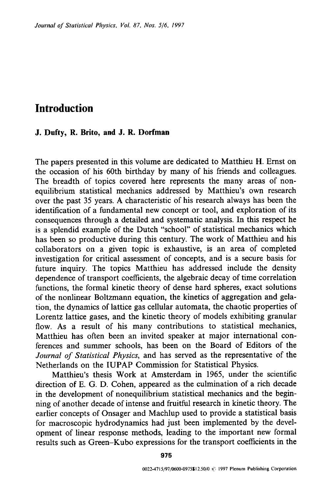## **J. Dufty, R. Brito, and J. R. Dorfman**

The papers presented in this volume are dedicated to Matthieu H. Ernst on the occasion of his 60th birthday by many of his friends and colleagues. The breadth of topics covered here represents the many areas of nonequilibrium statistical mechanics addressed by Matthieu's own research over the past 35 years. A characteristic of his research always has been the identification of a fundamental new concept or tool, and exploration of its consequences through a detailed and systematic analysis. In this respect he is a splendid example of the Dutch "school" of statistical mechanics which has been so productive during this century. The work of Matthieu and his collaborators on a given topic is exhaustive, is an area of completed investigation for critical assessment of concepts, and is a secure basis for future inquiry. The topics Matthieu has addressed include the density dependence of transport coefficients, the algebraic decay of time correlation functions, the formal kinetic theory of dense hard spheres, exact solutions of the nonlinear Boltzmann equation, the kinetics of aggregation and gelation, the dynamics of lattice gas cellular automata, the chaotic properties of Lorentz lattice gases, and the kinetic theory of models exhibiting granular flow. As a result of his many contributions to statistical mechanics, Matthieu has often been an invited speaker at major international conferences and summer schools, has been on the Board of Editors of the *Journal of Statistical Physics,* and has served as the representative of the Netherlands on the IUPAP Commission for Statistical Physics.

Matthieu's thesis Work at Amsterdam in 1965, under the scientific direction of E. G. D. Cohen, appeared as the culmination of a rich decade in the development of nonequilibrium statistical mechanics and the beginning of another decade of intense and fruitful research in kinetic theory. The earlier concepts of Onsager and Machlup used to provide a statistical basis for macroscopic hydrodynamics had just been implemented by the development of linear response methods, leading to the important new formal results such as Green-Kubo expressions for the transport coefficients in the

975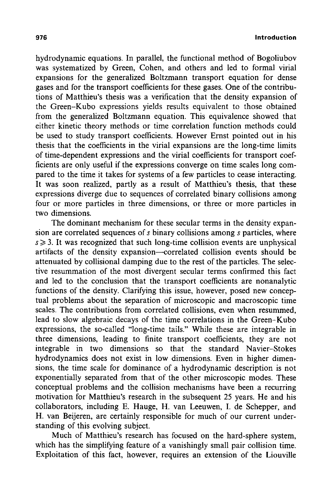hydrodynamic equations. In parallel, the functional method of Bogoliubov was systematized by Green, Cohen, and others and led to formal virial expansions for the generalized Boltzmann transport equation for dense gases and for the transport coefficients for these gases. One of the contributions of Matthieu's thesis was a verification that the density expansion of the Green-Kubo expressions yields results equivalent to those obtained from the generalized Boltzmann equation. This equivalence showed that either kinetic theory methods or time correlation function methods could be used to study transport coefficients. However Ernst pointed out in his thesis that the coefficients in the virial expansions are the long-time limits of time-dependent expressions and the virial coefficients for transport coefficients are only useful if the expressions converge on time scales long compared to the time it takes for systems of a few particles to cease interacting. It was soon realized, partly as a result of Matthieu's thesis, that these expressions diverge due to sequences of correlated binary collisions among four or more particles in three dimensions, or three or more particles in two dimensions.

The dominant mechanism for these secular terms in the density expansion are correlated sequences of s binary collisions among s particles, where  $s \geq 3$ . It was recognized that such long-time collision events are unphysical artifacts of the density expansion-correlated collision events should be attenuated by collisional damping due to the rest of the particles. The selective resummation of the most divergent secular terms confirmed this fact and led to the conclusion that the transport coefficients are nonanalytic functions of the density. Clarifying this issue, however, posed new conceptual problems about the separation of microscopic and macroscopic time scales. The contributions from correlated collisions, even when resummed, lead to slow algebraic decays of the time correlations in the Green-Kubo expressions, the so-called "long-time tails." While these are integrable in three dimensions, leading to finite transport coefficients, they are not integrable in two dimensions so that the standard Navier-Stokes hydrodynamics does not exist in low dimensions. Even in higher dimensions, the time scale for dominance of a hydrodynamic description is not exponentially separated from that of the other microscopic modes. These conceptual problems and the collision mechanisms have been a recurring motivation for Matthieu's research in the subsequent 25 years. He and his collaborators, including E. Hauge, H. van Leeuwen, I. de Schepper, and H. van Beijeren, are certainly responsible for much of our current understanding of this evolving subject.

Much of Matthieu's research has focused on the hard-sphere system, which has the simplifying feature of a vanishingly small pair collision time. Exploitation of this fact, however, requires an extension of the Liouville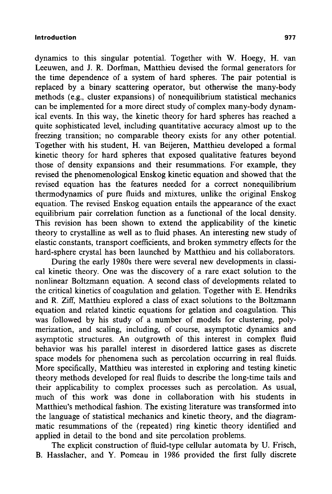dynamics to this singular potential. Together with W. Hoegy, H. van Leeuwen, and J. R. Dorfman, Matthieu devised the formal generators for the time dependence of a system of hard spheres. The pair potential is replaced by a binary scattering operator, but otherwise the many-body methods (e.g., cluster expansions) of nonequilibrium statistical mechanics can be implemented for a more direct study of complex many-body dynamical events. In this way, the kinetic theory for hard spheres has reached a quite sophisticated level, including quantitative accuracy almost up to the freezing transition; no comparable theory exists for any other potential. Together with his student, H. van Beijeren, Matthieu developed a formal kinetic theory for hard spheres that exposed qualitative features beyond those of density expansions and their resummations. For example, they revised the phenomenological Enskog kinetic equation and showed that the revised equation has the features needed for a correct nonequilibrium thermodynamics of pure fluids and mixtures, unlike the original Enskog equation. The revised Enskog equation entails the appearance of the exact equilibrium pair correlation function as a functional of the local density. This revision has been shown to extend the applicability of the kinetic theory to crystalline as well as to fluid phases. An interesting new study of elastic constants, transport coefficients, and broken symmetry effects for the hard-sphere crystal has been launched by Matthieu and his collaborators.

During the early 1980s there were several new developments in classical kinetic theory. One was the discovery of a rare exact solution to the nonlinear Boltzmann equation. A second class of developments related to the critical kinetics of coagulation and gelation. Together with E. Hendriks and R. Ziff, Matthieu explored a class of exact solutions to the Boltzmann equation and related kinetic equations for gelation and coagulation. This was followed by his study of a number of models for clustering, polymerization, and scaling, including, of course, asymptotic dynamics and asymptotic structures. An outgrowth of this interest in complex fluid behavior was his parallel interest in disordered lattice gases as discrete space models for phenomena such as percolation occurring in real fluids. More specifically, Matthieu was interested in exploring and testing kinetic theory methods developed for real fluids to describe the long-time tails and their applicability to complex processes such as percolation. As usual, much of this work was done in collaboration with his students in Matthieu's methodical fashion. The existing literature was transformed into the language of statistical mechanics and kinetic theory, and the diagrammatic resummations of the (repeated) ring kinetic theory identified and applied in detail to the bond and site percolation problems.

The explicit construction of fluid-type cellular automata by U. Frisch, B. Hasslacher, and Y. Pomeau in 1986 provided the first fully discrete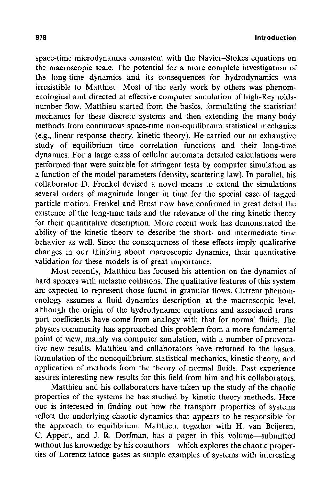space-time microdynamics consistent with the Navier-Stokes equations on the macroscopic scale. The potential for a more complete investigation of the long-time dynamics and its consequences for hydrodynamics was irresistible to Matthieu. Most of the early work by others was phenomenological and directed at effective computer simulation of high-Reynoldsnumber flow. Matthieu started from the basics, formulating the statistical mechanics for these discrete systems and then extending the many-body methods from continuous space-time non-equilibrium statistical mechanics (e.g., linear response theory, kinetic theory). He carried out an exhaustive study of equilibrium time correlation functions and their long-time dynamics. For a large class of cellular automata detailed calculations were performed that were suitable for stringent tests by computer simulation as a function of the model parameters (density, scattering law). In parallel, his collaborator D. Frenkel devised a novel means to extend the simulations several orders of magnitude longer in time for the special case of tagged particle motion. Frenkel and Ernst now have confirmed in great detail the existence of the long-time tails and the relevance of the ring kinetic theory for their quantitative description. More recent work has demonstrated the ability of the kinetic theory to describe the short- and intermediate time behavior as well. Since the consequences of these effects imply qualitative changes in our thinking about macroscopic dynamics, their quantitative validation for these models is of great importance.

Most recently, Matthieu has focused his attention on the dynamics of hard spheres with inelastic collisions. The qualitative features of this system are expected to represent those found in granular flows. Current phenomenology assumes a fluid dynamics description at the macroscopic level, although the origin of the hydrodynamic equations and associated transport coefficients have come from analogy with that for normal fluids. The physics community has approached this problem from a more fundamental point of view, mainly via computer simulation, with a number of provocative new results. Matthieu and collaborators have returned to the basics: formulation of the nonequilibrium statistical mechanics, kinetic theory, and application of methods from the theory of normal fluids. Past experience assures interesting new results for this field from him and his collaborators.

Matthieu and his collaborators have taken up the study of the chaotic properties of the systems he has studied by kinetic theory methods. Here one is interested in finding out how the transport properties of systems reflect the underlying chaotic dynamics that appears to be responsible for the approach to equilibrium. Matthieu, together with H. van Beijeren, C. Appert, and J. R. Dorfman, has a paper in this volume-submitted without his knowledge by his coauthors—which explores the chaotic properties of Lorentz lattice gases as simple examples of systems with interesting